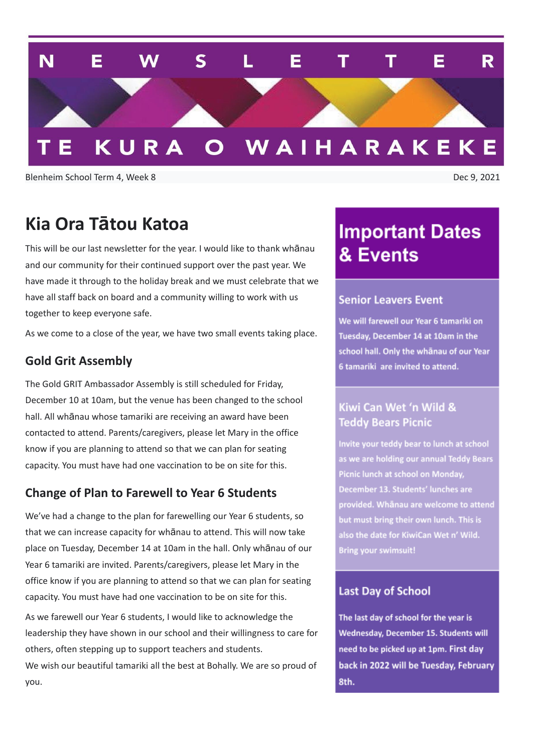

Blenheim School Term 4, Week 8 Dec 9, 2021

### **Kia Ora Tātou Katoa**

This will be our last newsletter for the year. I would like to thank whānau and our community for their continued support over the past year. We have made it through to the holiday break and we must celebrate that we have all staff back on board and a community willing to work with us together to keep everyone safe.

As we come to a close of the year, we have two small events taking place.

#### **Gold Grit Assembly**

The Gold GRIT Ambassador Assembly is still scheduled for Friday, December 10 at 10am, but the venue has been changed to the school hall. All whānau whose tamariki are receiving an award have been contacted to attend. Parents/caregivers, please let Mary in the office know if you are planning to attend so that we can plan for seating capacity. You must have had one vaccination to be on site for this.

#### **Change of Plan to Farewell to Year 6 Students**

We've had a change to the plan for farewelling our Year 6 students, so that we can increase capacity for whānau to attend. This will now take place on Tuesday, December 14 at 10am in the hall. Only whānau of our Year 6 tamariki are invited. Parents/caregivers, please let Mary in the office know if you are planning to attend so that we can plan for seating capacity. You must have had one vaccination to be on site for this.

As we farewell our Year 6 students, I would like to acknowledge the leadership they have shown in our school and their willingness to care for others, often stepping up to support teachers and students. We wish our beautiful tamariki all the best at Bohally. We are so proud of you.

## **Important Dates** & Events

#### **Senior Leavers Event**

We will farewell our Year 6 tamariki on Tuesday, December 14 at 10am in the school hall. Only the whanau of our Year 6 tamariki are invited to attend.

#### Kiwi Can Wet 'n Wild & **Teddy Bears Picnic**

Invite your teddy bear to lunch at school as we are holding our annual Teddy Bears Picnic lunch at school on Monday, December 13. Students' lunches are provided. Whānau are welcome to attend but must bring their own lunch. This is also the date for KiwiCan Wet n' Wild. **Bring your swimsuit!** 

#### **Last Day of School**

The last day of school for the year is Wednesday, December 15. Students will need to be picked up at 1pm. First day back in 2022 will be Tuesday, February 8th.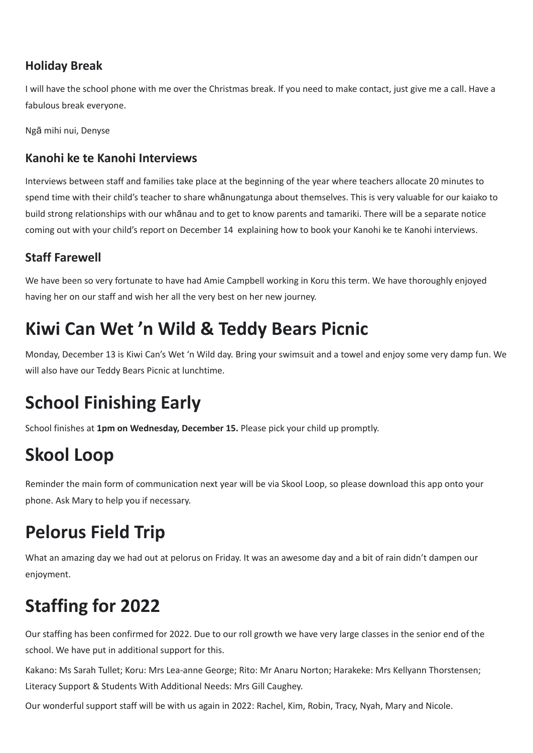### **Holiday Break**

I will have the school phone with me over the Christmas break. If you need to make contact, just give me a call. Have a fabulous break everyone.

Ngā mihi nui, Denyse

### **Kanohi ke te Kanohi Interviews**

Interviews between staff and families take place at the beginning of the year where teachers allocate 20 minutes to spend time with their child's teacher to share whānungatunga about themselves. This is very valuable for our kaiako to build strong relationships with our whānau and to get to know parents and tamariki. There will be a separate notice coming out with your child's report on December 14 explaining how to book your Kanohi ke te Kanohi interviews.

### **Staff Farewell**

We have been so very fortunate to have had Amie Campbell working in Koru this term. We have thoroughly enjoyed having her on our staff and wish her all the very best on her new journey.

## **Kiwi Can Wet 'n Wild & Teddy Bears Picnic**

Monday, December 13 is Kiwi Can's Wet 'n Wild day. Bring your swimsuit and a towel and enjoy some very damp fun. We will also have our Teddy Bears Picnic at lunchtime.

# **School Finishing Early**

School finishes at **1pm on Wednesday, December 15.** Please pick your child up promptly.

# **Skool Loop**

Reminder the main form of communication next year will be via Skool Loop, so please download this app onto your phone. Ask Mary to help you if necessary.

# **Pelorus Field Trip**

What an amazing day we had out at pelorus on Friday. It was an awesome day and a bit of rain didn't dampen our enjoyment.

# **Staffing for 2022**

Our staffing has been confirmed for 2022. Due to our roll growth we have very large classes in the senior end of the school. We have put in additional support for this.

Kakano: Ms Sarah Tullet; Koru: Mrs Lea-anne George; Rito: Mr Anaru Norton; Harakeke: Mrs Kellyann Thorstensen; Literacy Support & Students With Additional Needs: Mrs Gill Caughey.

Our wonderful support staff will be with us again in 2022: Rachel, Kim, Robin, Tracy, Nyah, Mary and Nicole.